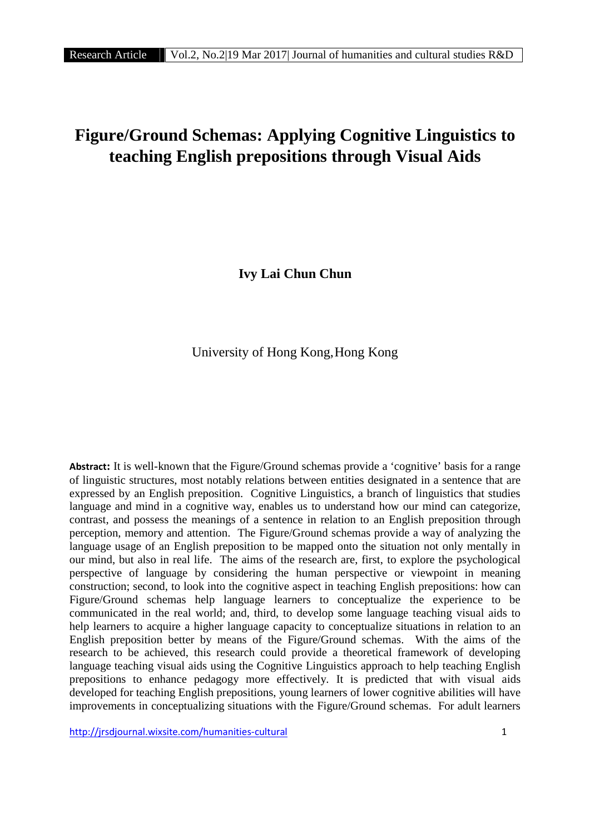# **Figure/Ground Schemas: Applying Cognitive Linguistics to teaching English prepositions through Visual Aids**

**Ivy Lai Chun Chun**

University of Hong Kong,Hong Kong

**Abstract:** It is well-known that the Figure/Ground schemas provide a 'cognitive' basis for a range of linguistic structures, most notably relations between entities designated in a sentence that are expressed by an English preposition. Cognitive Linguistics, a branch of linguistics that studies language and mind in a cognitive way, enables us to understand how our mind can categorize, contrast, and possess the meanings of a sentence in relation to an English preposition through perception, memory and attention. The Figure/Ground schemas provide a way of analyzing the language usage of an English preposition to be mapped onto the situation not only mentally in our mind, but also in real life. The aims of the research are, first, to explore the psychological perspective of language by considering the human perspective or viewpoint in meaning construction; second, to look into the cognitive aspect in teaching English prepositions: how can Figure/Ground schemas help language learners to conceptualize the experience to be communicated in the real world; and, third, to develop some language teaching visual aids to help learners to acquire a higher language capacity to conceptualize situations in relation to an English preposition better by means of the Figure/Ground schemas. With the aims of the research to be achieved, this research could provide a theoretical framework of developing language teaching visual aids using the Cognitive Linguistics approach to help teaching English prepositions to enhance pedagogy more effectively. It is predicted that with visual aids developed for teaching English prepositions, young learners of lower cognitive abilities will have improvements in conceptualizing situations with the Figure/Ground schemas. For adult learners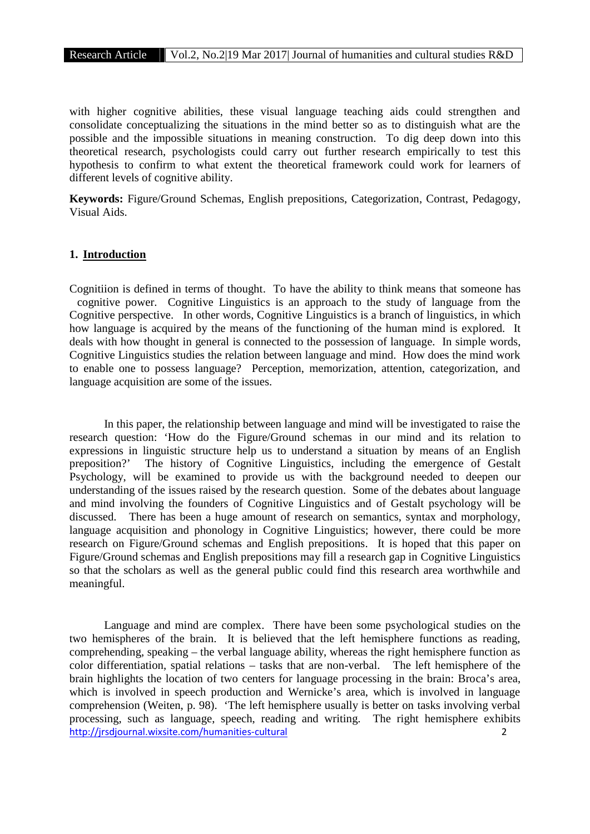with higher cognitive abilities, these visual language teaching aids could strengthen and consolidate conceptualizing the situations in the mind better so as to distinguish what are the possible and the impossible situations in meaning construction. To dig deep down into this theoretical research, psychologists could carry out further research empirically to test this hypothesis to confirm to what extent the theoretical framework could work for learners of different levels of cognitive ability.

**Keywords:** Figure/Ground Schemas, English prepositions, Categorization, Contrast, Pedagogy, Visual Aids.

# **1. Introduction**

Cognitiion is defined in terms of thought. To have the ability to think means that someone has cognitive power. Cognitive Linguistics is an approach to the study of language from the Cognitive perspective. In other words, Cognitive Linguistics is a branch of linguistics, in which how language is acquired by the means of the functioning of the human mind is explored. It deals with how thought in general is connected to the possession of language. In simple words, Cognitive Linguistics studies the relation between language and mind. How does the mind work to enable one to possess language? Perception, memorization, attention, categorization, and language acquisition are some of the issues.

In this paper, the relationship between language and mind will be investigated to raise the research question: 'How do the Figure/Ground schemas in our mind and its relation to expressions in linguistic structure help us to understand a situation by means of an English preposition?' The history of Cognitive Linguistics, including the emergence of Gestalt Psychology, will be examined to provide us with the background needed to deepen our understanding of the issues raised by the research question. Some of the debates about language and mind involving the founders of Cognitive Linguistics and of Gestalt psychology will be discussed. There has been a huge amount of research on semantics, syntax and morphology, language acquisition and phonology in Cognitive Linguistics; however, there could be more research on Figure/Ground schemas and English prepositions. It is hoped that this paper on Figure/Ground schemas and English prepositions may fill a research gap in Cognitive Linguistics so that the scholars as well as the general public could find this research area worthwhile and meaningful.

http://jrsdjournal.wixsite.com/humanities-cultural 2 Language and mind are complex. There have been some psychological studies on the two hemispheres of the brain. It is believed that the left hemisphere functions as reading, comprehending, speaking – the verbal language ability, whereas the right hemisphere function as color differentiation, spatial relations – tasks that are non-verbal. The left hemisphere of the brain highlights the location of two centers for language processing in the brain: Broca's area, which is involved in speech production and Wernicke's area, which is involved in language comprehension (Weiten, p. 98). 'The left hemisphere usually is better on tasks involving verbal processing, such as language, speech, reading and writing. The right hemisphere exhibits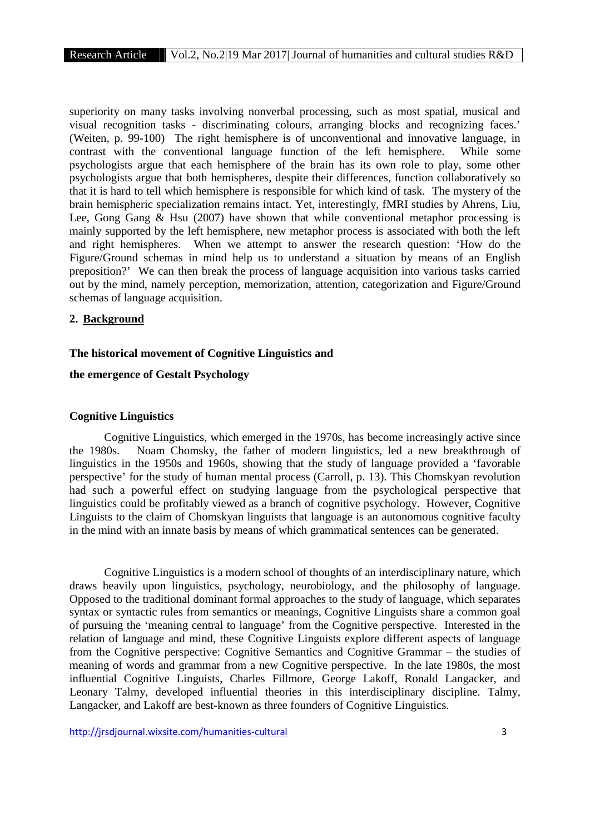superiority on many tasks involving nonverbal processing, such as most spatial, musical and visual recognition tasks - discriminating colours, arranging blocks and recognizing faces.' (Weiten, p. 99-100) The right hemisphere is of unconventional and innovative language, in contrast with the conventional language function of the left hemisphere. While some psychologists argue that each hemisphere of the brain has its own role to play, some other psychologists argue that both hemispheres, despite their differences, function collaboratively so that it is hard to tell which hemisphere is responsible for which kind of task. The mystery of the brain hemispheric specialization remains intact. Yet, interestingly, fMRI studies by Ahrens, Liu, Lee, Gong Gang & Hsu (2007) have shown that while conventional metaphor processing is mainly supported by the left hemisphere, new metaphor process is associated with both the left and right hemispheres. When we attempt to answer the research question: 'How do the Figure/Ground schemas in mind help us to understand a situation by means of an English preposition?' We can then break the process of language acquisition into various tasks carried out by the mind, namely perception, memorization, attention, categorization and Figure/Ground schemas of language acquisition.

#### **2. Background**

#### **The historical movement of Cognitive Linguistics and**

#### **the emergence of Gestalt Psychology**

#### **Cognitive Linguistics**

Cognitive Linguistics, which emerged in the 1970s, has become increasingly active since the 1980s. Noam Chomsky, the father of modern linguistics, led a new breakthrough of linguistics in the 1950s and 1960s, showing that the study of language provided a 'favorable perspective' for the study of human mental process (Carroll, p. 13). This Chomskyan revolution had such a powerful effect on studying language from the psychological perspective that linguistics could be profitably viewed as a branch of cognitive psychology. However, Cognitive Linguists to the claim of Chomskyan linguists that language is an autonomous cognitive faculty in the mind with an innate basis by means of which grammatical sentences can be generated.

Cognitive Linguistics is a modern school of thoughts of an interdisciplinary nature, which draws heavily upon linguistics, psychology, neurobiology, and the philosophy of language. Opposed to the traditional dominant formal approaches to the study of language, which separates syntax or syntactic rules from semantics or meanings, Cognitive Linguists share a common goal of pursuing the 'meaning central to language' from the Cognitive perspective. Interested in the relation of language and mind, these Cognitive Linguists explore different aspects of language from the Cognitive perspective: Cognitive Semantics and Cognitive Grammar – the studies of meaning of words and grammar from a new Cognitive perspective. In the late 1980s, the most influential Cognitive Linguists, Charles Fillmore, George Lakoff, Ronald Langacker, and Leonary Talmy, developed influential theories in this interdisciplinary discipline. Talmy, Langacker, and Lakoff are best-known as three founders of Cognitive Linguistics.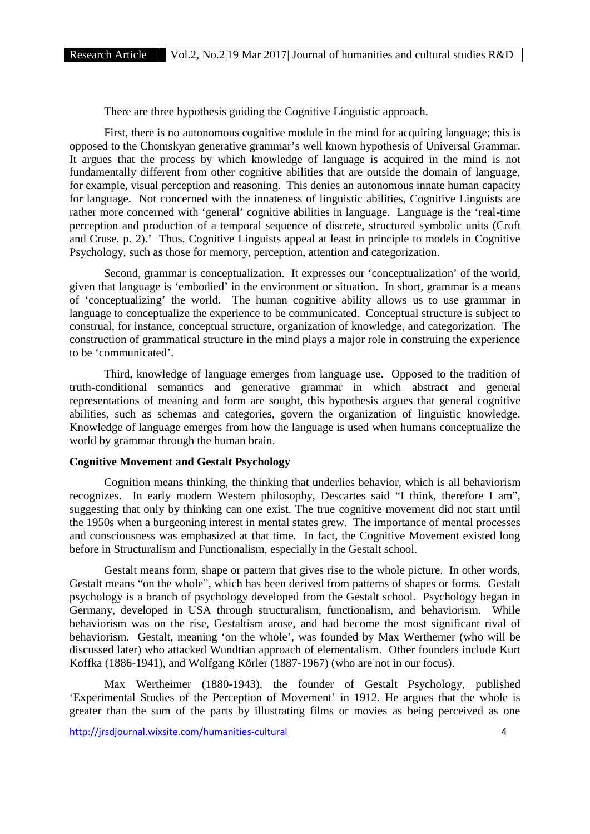There are three hypothesis guiding the Cognitive Linguistic approach.

First, there is no autonomous cognitive module in the mind for acquiring language; this is opposed to the Chomskyan generative grammar's well known hypothesis of Universal Grammar. It argues that the process by which knowledge of language is acquired in the mind is not fundamentally different from other cognitive abilities that are outside the domain of language, for example, visual perception and reasoning. This denies an autonomous innate human capacity for language. Not concerned with the innateness of linguistic abilities, Cognitive Linguists are rather more concerned with 'general' cognitive abilities in language. Language is the 'real-time perception and production of a temporal sequence of discrete, structured symbolic units (Croft and Cruse, p. 2).' Thus, Cognitive Linguists appeal at least in principle to models in Cognitive Psychology, such as those for memory, perception, attention and categorization.

Second, grammar is conceptualization. It expresses our 'conceptualization' of the world, given that language is 'embodied' in the environment or situation. In short, grammar is a means of 'conceptualizing' the world. The human cognitive ability allows us to use grammar in language to conceptualize the experience to be communicated. Conceptual structure is subject to construal, for instance, conceptual structure, organization of knowledge, and categorization. The construction of grammatical structure in the mind plays a major role in construing the experience to be 'communicated'.

Third, knowledge of language emerges from language use. Opposed to the tradition of truth-conditional semantics and generative grammar in which abstract and general representations of meaning and form are sought, this hypothesis argues that general cognitive abilities, such as schemas and categories, govern the organization of linguistic knowledge. Knowledge of language emerges from how the language is used when humans conceptualize the world by grammar through the human brain.

# **Cognitive Movement and Gestalt Psychology**

Cognition means thinking, the thinking that underlies behavior, which is all behaviorism recognizes. In early modern Western philosophy, Descartes said "I think, therefore I am", suggesting that only by thinking can one exist. The true cognitive movement did not start until the 1950s when a burgeoning interest in mental states grew. The importance of mental processes and consciousness was emphasized at that time. In fact, the Cognitive Movement existed long before in Structuralism and Functionalism, especially in the Gestalt school.

Gestalt means form, shape or pattern that gives rise to the whole picture. In other words, Gestalt means "on the whole", which has been derived from patterns of shapes or forms. Gestalt psychology is a branch of psychology developed from the Gestalt school. Psychology began in Germany, developed in USA through structuralism, functionalism, and behaviorism. While behaviorism was on the rise, Gestaltism arose, and had become the most significant rival of behaviorism. Gestalt, meaning 'on the whole', was founded by Max Werthemer (who will be discussed later) who attacked Wundtian approach of elementalism. Other founders include Kurt Koffka (1886-1941), and Wolfgang Körler (1887-1967) (who are not in our focus).

Max Wertheimer (1880-1943), the founder of Gestalt Psychology, published 'Experimental Studies of the Perception of Movement' in 1912. He argues that the whole is greater than the sum of the parts by illustrating films or movies as being perceived as one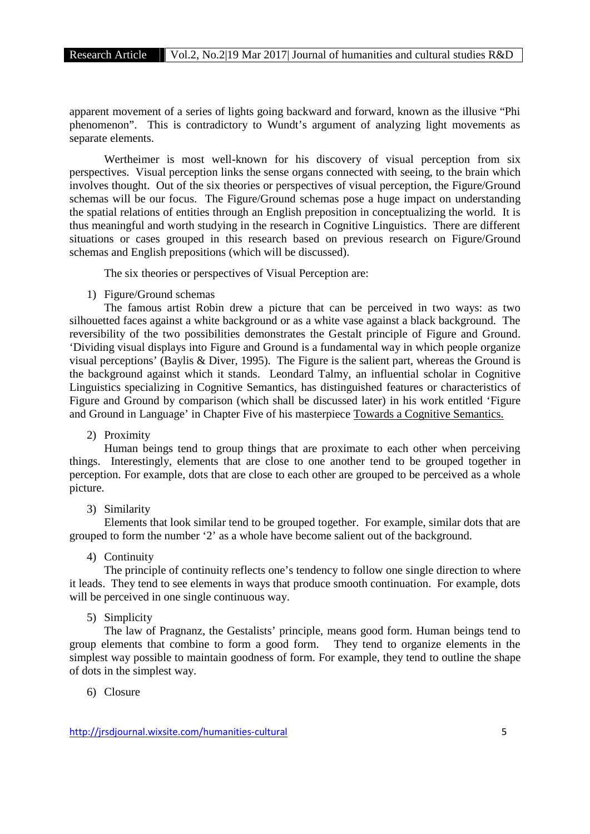apparent movement of a series of lights going backward and forward, known as the illusive "Phi phenomenon". This is contradictory to Wundt's argument of analyzing light movements as separate elements.

Wertheimer is most well-known for his discovery of visual perception from six perspectives. Visual perception links the sense organs connected with seeing, to the brain which involves thought. Out of the six theories or perspectives of visual perception, the Figure/Ground schemas will be our focus. The Figure/Ground schemas pose a huge impact on understanding the spatial relations of entities through an English preposition in conceptualizing the world. It is thus meaningful and worth studying in the research in Cognitive Linguistics. There are different situations or cases grouped in this research based on previous research on Figure/Ground schemas and English prepositions (which will be discussed).

The six theories or perspectives of Visual Perception are:

1) Figure/Ground schemas

The famous artist Robin drew a picture that can be perceived in two ways: as two silhouetted faces against a white background or as a white vase against a black background. The reversibility of the two possibilities demonstrates the Gestalt principle of Figure and Ground. 'Dividing visual displays into Figure and Ground is a fundamental way in which people organize visual perceptions' (Baylis & Diver, 1995). The Figure is the salient part, whereas the Ground is the background against which it stands. Leondard Talmy, an influential scholar in Cognitive Linguistics specializing in Cognitive Semantics, has distinguished features or characteristics of Figure and Ground by comparison (which shall be discussed later) in his work entitled 'Figure and Ground in Language' in Chapter Five of his masterpiece Towards a Cognitive Semantics.

2) Proximity

Human beings tend to group things that are proximate to each other when perceiving things. Interestingly, elements that are close to one another tend to be grouped together in perception. For example, dots that are close to each other are grouped to be perceived as a whole picture.

3) Similarity

Elements that look similar tend to be grouped together. For example, similar dots that are grouped to form the number '2' as a whole have become salient out of the background.

4) Continuity

The principle of continuity reflects one's tendency to follow one single direction to where it leads. They tend to see elements in ways that produce smooth continuation. For example, dots will be perceived in one single continuous way.

5) Simplicity

The law of Pragnanz, the Gestalists' principle, means good form. Human beings tend to group elements that combine to form a good form. They tend to organize elements in the simplest way possible to maintain goodness of form. For example, they tend to outline the shape of dots in the simplest way.

6) Closure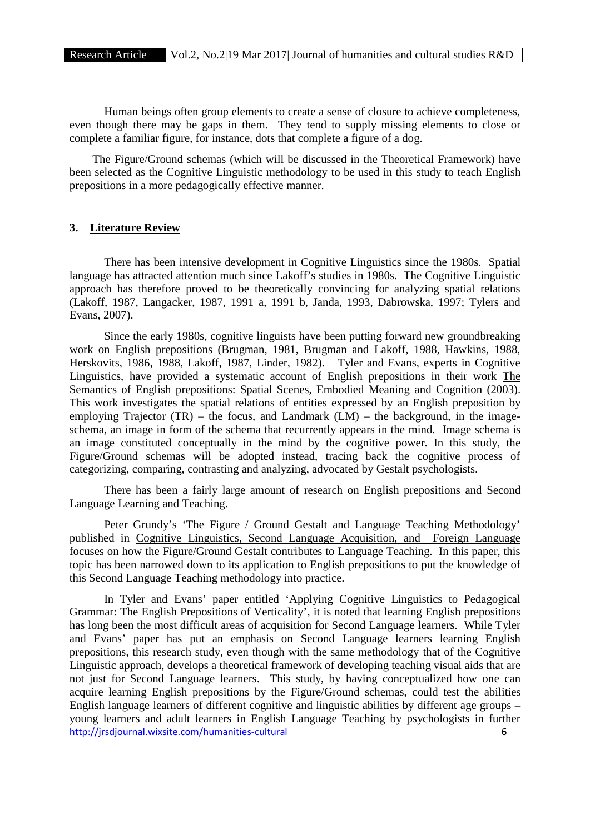Human beings often group elements to create a sense of closure to achieve completeness, even though there may be gaps in them. They tend to supply missing elements to close or complete a familiar figure, for instance, dots that complete a figure of a dog.

The Figure/Ground schemas (which will be discussed in the Theoretical Framework) have been selected as the Cognitive Linguistic methodology to be used in this study to teach English prepositions in a more pedagogically effective manner.

#### **3. Literature Review**

There has been intensive development in Cognitive Linguistics since the 1980s. Spatial language has attracted attention much since Lakoff's studies in 1980s. The Cognitive Linguistic approach has therefore proved to be theoretically convincing for analyzing spatial relations (Lakoff, 1987, Langacker, 1987, 1991 a, 1991 b, Janda, 1993, Dabrowska, 1997; Tylers and Evans, 2007).

Since the early 1980s, cognitive linguists have been putting forward new groundbreaking work on English prepositions (Brugman, 1981, Brugman and Lakoff, 1988, Hawkins, 1988, Herskovits, 1986, 1988, Lakoff, 1987, Linder, 1982). Tyler and Evans, experts in Cognitive Linguistics, have provided a systematic account of English prepositions in their work The Semantics of English prepositions: Spatial Scenes, Embodied Meaning and Cognition (2003). This work investigates the spatial relations of entities expressed by an English preposition by employing Trajector (TR) – the focus, and Landmark (LM) – the background, in the imageschema, an image in form of the schema that recurrently appears in the mind. Image schema is an image constituted conceptually in the mind by the cognitive power. In this study, the Figure/Ground schemas will be adopted instead, tracing back the cognitive process of categorizing, comparing, contrasting and analyzing, advocated by Gestalt psychologists.

There has been a fairly large amount of research on English prepositions and Second Language Learning and Teaching.

Peter Grundy's 'The Figure / Ground Gestalt and Language Teaching Methodology' published in Cognitive Linguistics, Second Language Acquisition, and Foreign Language focuses on how the Figure/Ground Gestalt contributes to Language Teaching. In this paper, this topic has been narrowed down to its application to English prepositions to put the knowledge of this Second Language Teaching methodology into practice.

http://jrsdjournal.wixsite.com/humanities-cultural 6 In Tyler and Evans' paper entitled 'Applying Cognitive Linguistics to Pedagogical Grammar: The English Prepositions of Verticality', it is noted that learning English prepositions has long been the most difficult areas of acquisition for Second Language learners. While Tyler and Evans' paper has put an emphasis on Second Language learners learning English prepositions, this research study, even though with the same methodology that of the Cognitive Linguistic approach, develops a theoretical framework of developing teaching visual aids that are not just for Second Language learners. This study, by having conceptualized how one can acquire learning English prepositions by the Figure/Ground schemas, could test the abilities English language learners of different cognitive and linguistic abilities by different age groups – young learners and adult learners in English Language Teaching by psychologists in further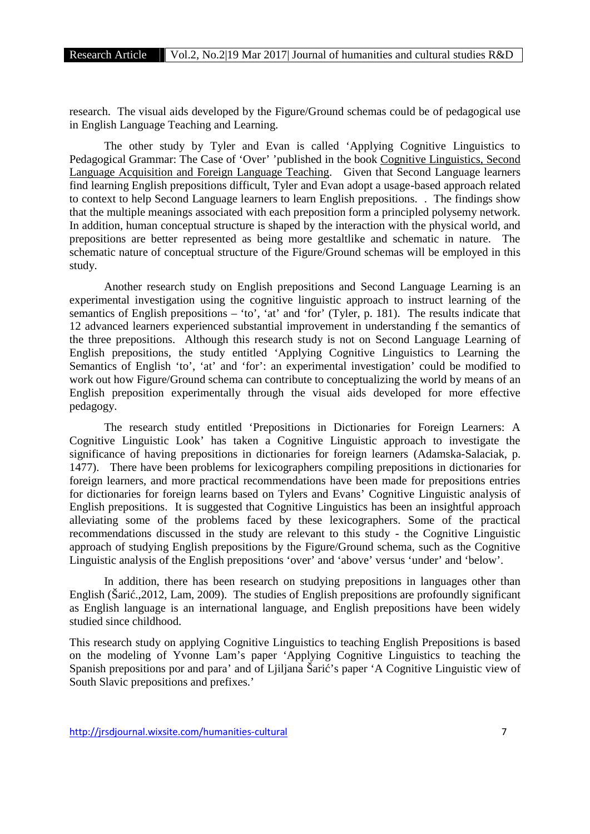research. The visual aids developed by the Figure/Ground schemas could be of pedagogical use in English Language Teaching and Learning.

The other study by Tyler and Evan is called 'Applying Cognitive Linguistics to Pedagogical Grammar: The Case of 'Over' 'published in the book Cognitive Linguistics, Second Language Acquisition and Foreign Language Teaching. Given that Second Language learners find learning English prepositions difficult, Tyler and Evan adopt a usage-based approach related to context to help Second Language learners to learn English prepositions. . The findings show that the multiple meanings associated with each preposition form a principled polysemy network. In addition, human conceptual structure is shaped by the interaction with the physical world, and prepositions are better represented as being more gestaltlike and schematic in nature. The schematic nature of conceptual structure of the Figure/Ground schemas will be employed in this study.

Another research study on English prepositions and Second Language Learning is an experimental investigation using the cognitive linguistic approach to instruct learning of the semantics of English prepositions – 'to', 'at' and 'for' (Tyler, p. 181). The results indicate that 12 advanced learners experienced substantial improvement in understanding f the semantics of the three prepositions. Although this research study is not on Second Language Learning of English prepositions, the study entitled 'Applying Cognitive Linguistics to Learning the Semantics of English 'to', 'at' and 'for': an experimental investigation' could be modified to work out how Figure/Ground schema can contribute to conceptualizing the world by means of an English preposition experimentally through the visual aids developed for more effective pedagogy.

The research study entitled 'Prepositions in Dictionaries for Foreign Learners: A Cognitive Linguistic Look' has taken a Cognitive Linguistic approach to investigate the significance of having prepositions in dictionaries for foreign learners (Adamska-Salaciak, p. 1477). There have been problems for lexicographers compiling prepositions in dictionaries for foreign learners, and more practical recommendations have been made for prepositions entries for dictionaries for foreign learns based on Tylers and Evans' Cognitive Linguistic analysis of English prepositions. It is suggested that Cognitive Linguistics has been an insightful approach alleviating some of the problems faced by these lexicographers. Some of the practical recommendations discussed in the study are relevant to this study - the Cognitive Linguistic approach of studying English prepositions by the Figure/Ground schema, such as the Cognitive Linguistic analysis of the English prepositions 'over' and 'above' versus 'under' and 'below'.

In addition, there has been research on studying prepositions in languages other than English (Šari .,2012, Lam, 2009). The studies of English prepositions are profoundly significant as English language is an international language, and English prepositions have been widely studied since childhood.

This research study on applying Cognitive Linguistics to teaching English Prepositions is based on the modeling of Yvonne Lam's paper 'Applying Cognitive Linguistics to teaching the Spanish prepositions por and para' and of Liiliana Šari 's paper 'A Cognitive Linguistic view of South Slavic prepositions and prefixes.'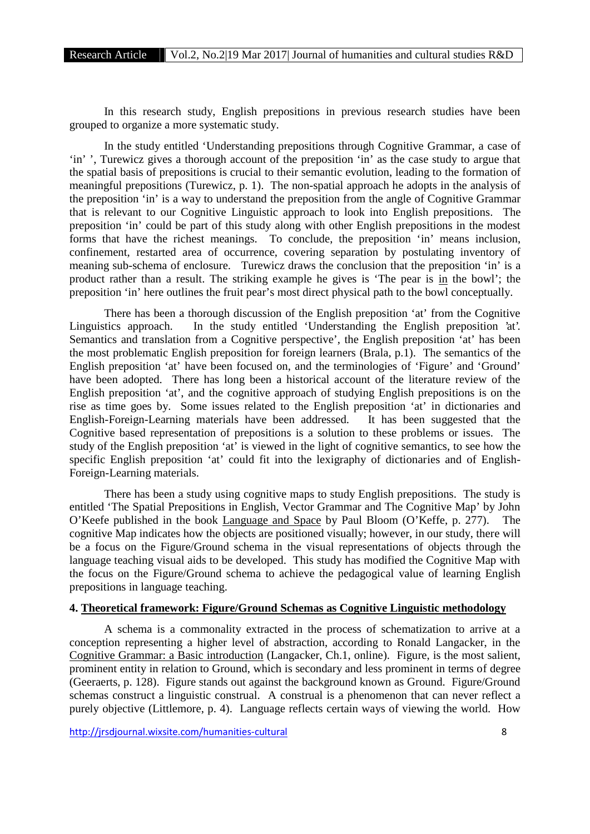In this research study, English prepositions in previous research studies have been grouped to organize a more systematic study.

In the study entitled 'Understanding prepositions through Cognitive Grammar, a case of 'in' ', Turewicz gives a thorough account of the preposition 'in' as the case study to argue that the spatial basis of prepositions is crucial to their semantic evolution, leading to the formation of meaningful prepositions (Turewicz, p. 1). The non-spatial approach he adopts in the analysis of the preposition 'in' is a way to understand the preposition from the angle of Cognitive Grammar that is relevant to our Cognitive Linguistic approach to look into English prepositions. The preposition 'in' could be part of this study along with other English prepositions in the modest forms that have the richest meanings. To conclude, the preposition 'in' means inclusion, confinement, restarted area of occurrence, covering separation by postulating inventory of meaning sub-schema of enclosure. Turewicz draws the conclusion that the preposition 'in' is a product rather than a result. The striking example he gives is 'The pear is in the bowl'; the preposition 'in' here outlines the fruit pear's most direct physical path to the bowl conceptually.

There has been a thorough discussion of the English preposition 'at' from the Cognitive Linguistics approach. In the study entitled 'Understanding the English preposition 'at'. Semantics and translation from a Cognitive perspective', the English preposition 'at' has been the most problematic English preposition for foreign learners (Brala, p.1). The semantics of the English preposition 'at' have been focused on, and the terminologies of 'Figure' and 'Ground' have been adopted. There has long been a historical account of the literature review of the English preposition 'at', and the cognitive approach of studying English prepositions is on the rise as time goes by. Some issues related to the English preposition 'at' in dictionaries and English-Foreign-Learning materials have been addressed. It has been suggested that the Cognitive based representation of prepositions is a solution to these problems or issues. The study of the English preposition 'at' is viewed in the light of cognitive semantics, to see how the specific English preposition 'at' could fit into the lexigraphy of dictionaries and of English- Foreign-Learning materials.

There has been a study using cognitive maps to study English prepositions. The study is entitled 'The Spatial Prepositions in English, Vector Grammar and The Cognitive Map' by John O'Keefe published in the book Language and Space by Paul Bloom (O'Keffe, p. 277). The cognitive Map indicates how the objects are positioned visually; however, in our study, there will be a focus on the Figure/Ground schema in the visual representations of objects through the language teaching visual aids to be developed. This study has modified the Cognitive Map with the focus on the Figure/Ground schema to achieve the pedagogical value of learning English prepositions in language teaching.

# **4. Theoretical framework: Figure/Ground Schemas as Cognitive Linguistic methodology**

A schema is a commonality extracted in the process of schematization to arrive at a conception representing a higher level of abstraction, according to Ronald Langacker, in the Cognitive Grammar: a Basic introduction (Langacker, Ch.1, online). Figure, is the most salient, prominent entity in relation to Ground, which is secondary and less prominent in terms of degree (Geeraerts, p. 128). Figure stands out against the background known as Ground. Figure/Ground schemas construct a linguistic construal. A construal is a phenomenon that can never reflect a purely objective (Littlemore, p. 4). Language reflects certain ways of viewing the world. How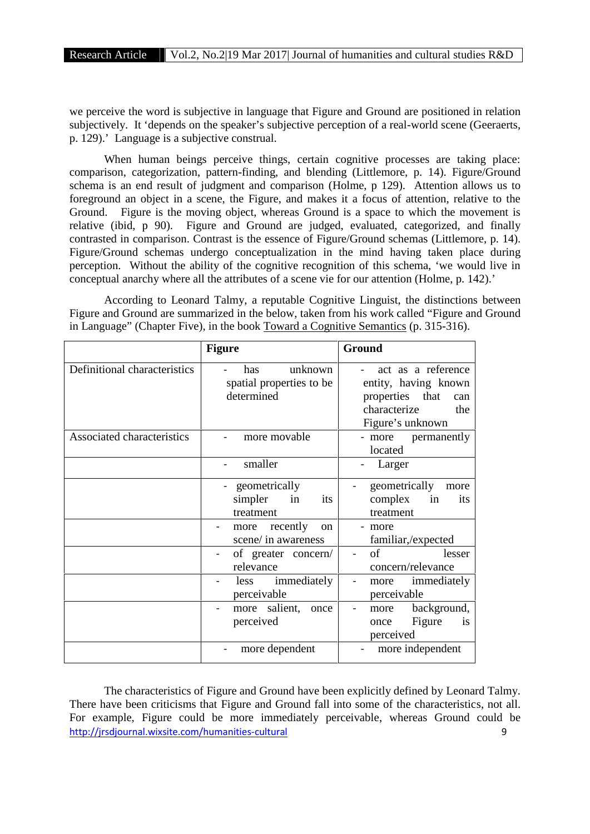we perceive the word is subjective in language that Figure and Ground are positioned in relation subjectively. It 'depends on the speaker's subjective perception of a real-world scene (Geeraerts, p. 129).' Language is a subjective construal.

When human beings perceive things, certain cognitive processes are taking place: comparison, categorization, pattern-finding, and blending (Littlemore, p. 14). Figure/Ground schema is an end result of judgment and comparison (Holme, p 129). Attention allows us to foreground an object in a scene, the Figure, and makes it a focus of attention, relative to the Ground. Figure is the moving object, whereas Ground is a space to which the movement is relative (ibid, p 90). Figure and Ground are judged, evaluated, categorized, and finally contrasted in comparison. Contrast is the essence of Figure/Ground schemas (Littlemore, p. 14). Figure/Ground schemas undergo conceptualization in the mind having taken place during perception. Without the ability of the cognitive recognition of this schema, 'we would live in conceptual anarchy where all the attributes of a scene vie for our attention (Holme, p. 142).'

According to Leonard Talmy, a reputable Cognitive Linguist, the distinctions between Figure and Ground are summarized in the below, taken from his work called "Figure and Ground in Language" (Chapter Five), in the book Toward a Cognitive Semantics (p. 315-316).

|                              | <b>Figure</b>                                                                                | Ground                                                                                                             |
|------------------------------|----------------------------------------------------------------------------------------------|--------------------------------------------------------------------------------------------------------------------|
| Definitional characteristics | unknown<br>has<br>spatial properties to be<br>determined                                     | act as a reference<br>entity, having known<br>properties<br>that<br>can<br>characterize<br>the<br>Figure's unknown |
| Associated characteristics   | more movable                                                                                 | permanently<br>- more<br>located                                                                                   |
|                              | smaller                                                                                      | Larger                                                                                                             |
|                              | geometrically<br>simpler<br>in<br>its<br>treatment<br>recently<br><sub>on</sub><br>more<br>- | geometrically<br>more<br>complex<br>in<br>its<br>treatment<br>more                                                 |
|                              | scene/ in awareness                                                                          | familiar,/expected                                                                                                 |
|                              | of greater concern/<br>relevance                                                             | of<br>lesser<br>$\blacksquare$<br>concern/relevance                                                                |
|                              | immediately<br>less<br>perceivable                                                           | immediately<br>more<br>perceivable                                                                                 |
|                              | more salient,<br>once<br>perceived                                                           | background,<br>more<br>Figure<br>is<br>once<br>perceived                                                           |
|                              | more dependent                                                                               | more independent                                                                                                   |

http://jrsdjournal.wixsite.com/humanities-cultural 9 The characteristics of Figure and Ground have been explicitly defined by Leonard Talmy. There have been criticisms that Figure and Ground fall into some of the characteristics, not all. For example, Figure could be more immediately perceivable, whereas Ground could be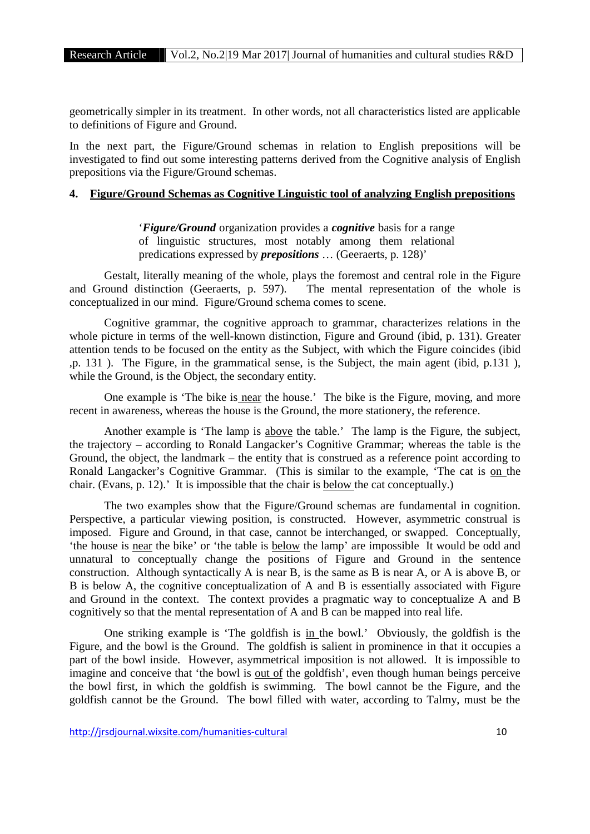geometrically simpler in its treatment. In other words, not all characteristics listed are applicable to definitions of Figure and Ground.

In the next part, the Figure/Ground schemas in relation to English prepositions will be investigated to find out some interesting patterns derived from the Cognitive analysis of English prepositions via the Figure/Ground schemas.

## **4. Figure/Ground Schemas as Cognitive Linguistic tool of analyzing English prepositions**

'*Figure/Ground* organization provides a *cognitive* basis for a range of linguistic structures, most notably among them relational predications expressed by *prepositions* … (Geeraerts, p. 128)'

Gestalt, literally meaning of the whole, plays the foremost and central role in the Figure and Ground distinction (Geeraerts, p. 597). The mental representation of the whole is conceptualized in our mind. Figure/Ground schema comes to scene.

Cognitive grammar, the cognitive approach to grammar, characterizes relations in the whole picture in terms of the well-known distinction, Figure and Ground (ibid, p. 131). Greater attention tends to be focused on the entity as the Subject, with which the Figure coincides (ibid ,p. 131 ). The Figure, in the grammatical sense, is the Subject, the main agent (ibid, p.131 ), while the Ground, is the Object, the secondary entity.

One example is 'The bike is near the house.' The bike is the Figure, moving, and more recent in awareness, whereas the house is the Ground, the more stationery, the reference.

Another example is 'The lamp is above the table.' The lamp is the Figure, the subject, the trajectory – according to Ronald Langacker's Cognitive Grammar; whereas the table is the Ground, the object, the landmark – the entity that is construed as a reference point according to Ronald Langacker's Cognitive Grammar. (This is similar to the example, 'The cat is on the chair. (Evans, p. 12).' It is impossible that the chair is below the cat conceptually.)

The two examples show that the Figure/Ground schemas are fundamental in cognition. Perspective, a particular viewing position, is constructed. However, asymmetric construal is imposed. Figure and Ground, in that case, cannot be interchanged, or swapped. Conceptually, 'the house is near the bike' or 'the table is below the lamp' are impossible It would be odd and unnatural to conceptually change the positions of Figure and Ground in the sentence construction. Although syntactically A is near B, is the same as B is near A, or A is above B, or B is below A, the cognitive conceptualization of A and B is essentially associated with Figure and Ground in the context. The context provides a pragmatic way to conceptualize A and B cognitively so that the mental representation of A and B can be mapped into real life.

One striking example is 'The goldfish is in the bowl.' Obviously, the goldfish is the Figure, and the bowl is the Ground. The goldfish is salient in prominence in that it occupies a part of the bowl inside. However, asymmetrical imposition is not allowed. It is impossible to imagine and conceive that 'the bowl is <u>out of</u> the goldfish', even though human beings perceive the bowl first, in which the goldfish is swimming. The bowl cannot be the Figure, and the goldfish cannot be the Ground. The bowl filled with water, according to Talmy, must be the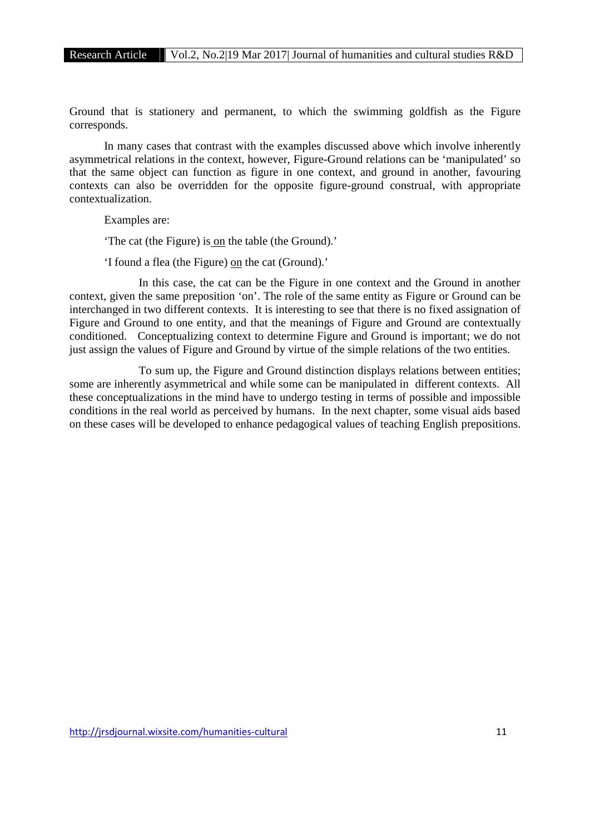Ground that is stationery and permanent, to which the swimming goldfish as the Figure corresponds.

In many cases that contrast with the examples discussed above which involve inherently asymmetrical relations in the context, however, Figure-Ground relations can be 'manipulated' so that the same object can function as figure in one context, and ground in another, favouring contexts can also be overridden for the opposite figure-ground construal, with appropriate contextualization.

Examples are:

'The cat (the Figure) is on the table (the Ground).'

'I found a flea (the Figure) on the cat (Ground).'

In this case, the cat can be the Figure in one context and the Ground in another context, given the same preposition 'on'. The role of the same entity as Figure or Ground can be interchanged in two different contexts. It is interesting to see that there is no fixed assignation of Figure and Ground to one entity, and that the meanings of Figure and Ground are contextually conditioned. Conceptualizing context to determine Figure and Ground is important; we do not just assign the values of Figure and Ground by virtue of the simple relations of the two entities.

To sum up, the Figure and Ground distinction displays relations between entities; some are inherently asymmetrical and while some can be manipulated in different contexts. All these conceptualizations in the mind have to undergo testing in terms of possible and impossible conditions in the real world as perceived by humans. In the next chapter, some visual aids based on these cases will be developed to enhance pedagogical values of teaching English prepositions.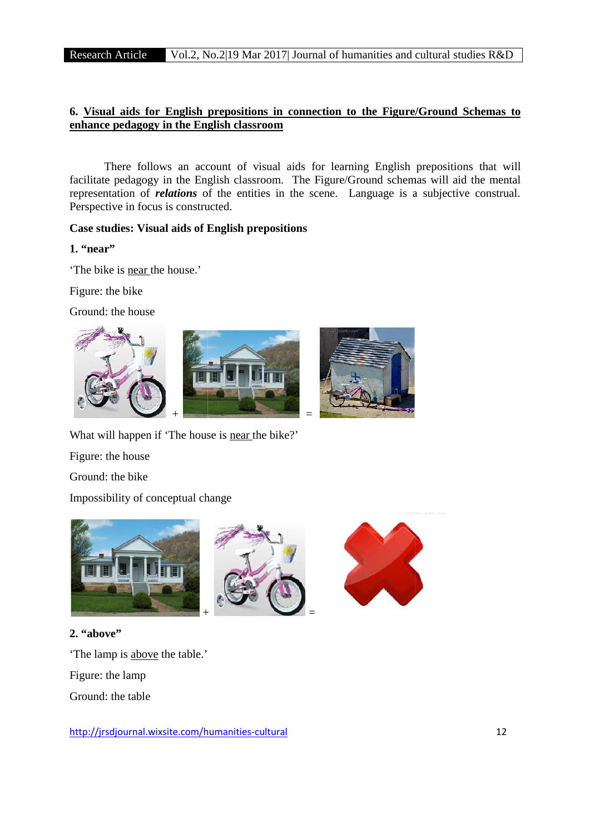# **6. Visual aids for English prepositions in connection to the Figure/Ground Schemas to prepositions enhance pedagogy in the English classroom**

There follows an account of visual aids for learning English prepositions that will facilitate pedagogy in the English classroom. The Figure/Ground schemas will aid the mental representation of *relations* of the entities in the scene. Language is a subjective construal. Perspective in focus is constructed. follows an account of visual aids for learning English prepositions that w<br>gogy in the English classroom. The Figure/Ground schemas will aid the men<br>of *relations* of the entities in the scene. Language is a subjective c

# **Case studies: Visual aids of English prepositions**

# **1. "near"**

'The bike is near the house.'

Figure: the bike

Ground: the house







What will happen if 'The house is **near** the bike?'

Figure: the house

Ground: the bike

**2. "above"**

Impossibility of conceptual change



'The lamp is above the table.' Figure: the lamp Ground: the table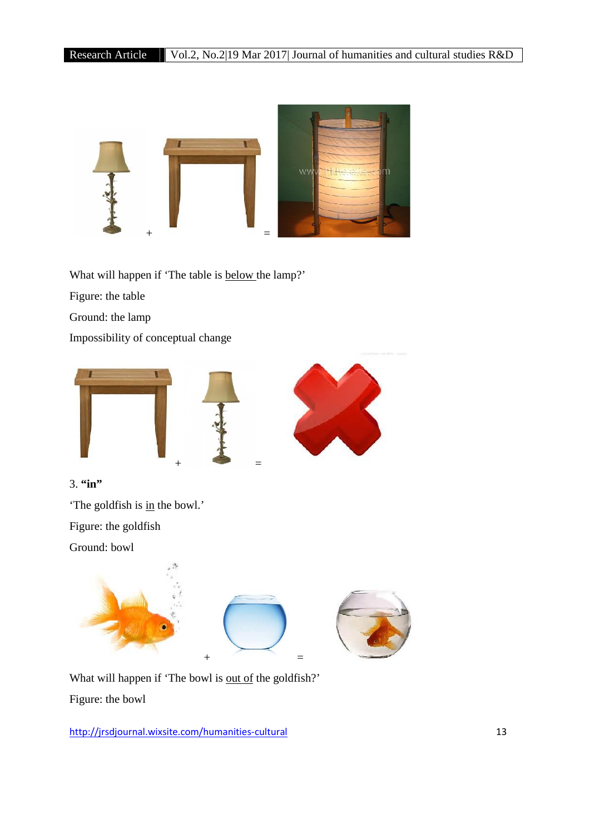

What will happen if 'The table is **below** the lamp?'

Figure: the table

Ground: the lamp

Impossibility of conceptual change



3. **"in"**

'The goldfish is in the bowl.'

Figure: the goldfish

Ground: bowl



What will happen if 'The bowl is out of the goldfish?'

Figure: the bowl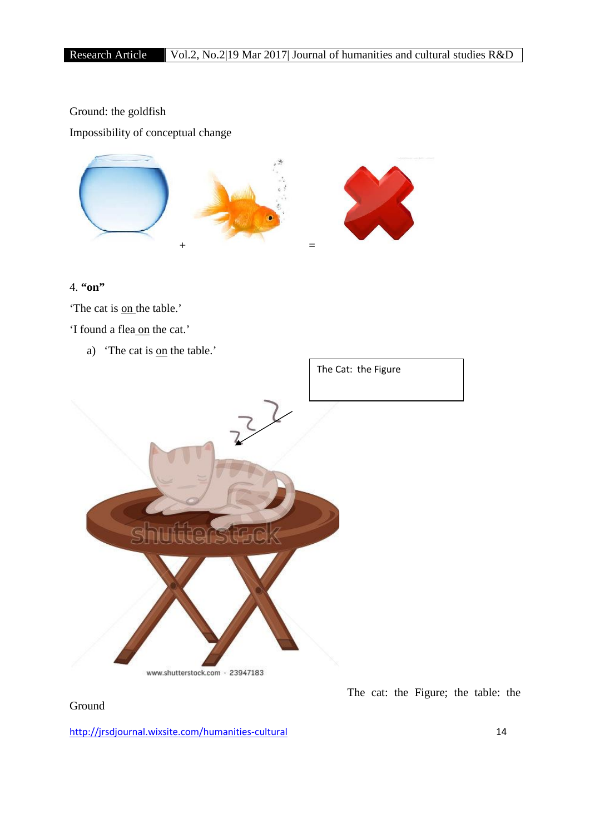# Ground: the goldfish

Impossibility of conceptual change



# 4. **"on"**

'The cat is <u>on</u> the table.'

'I found a flea on the cat.'

a) The cat is <u>on</u> the table.'



The cat: the Figure; the table: the

Ground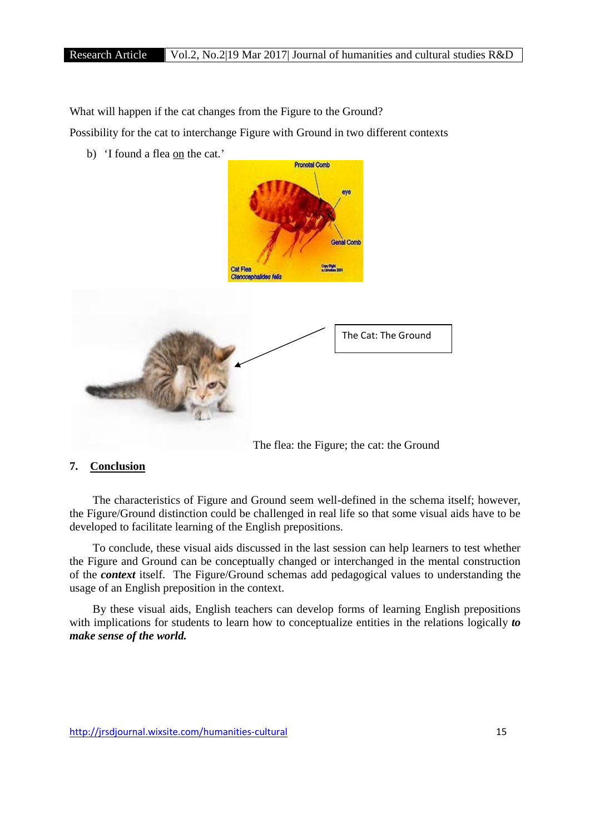What will happen if the cat changes from the Figure to the Ground?

Possibility for the cat to interchange Figure with Ground in two different contexts

b) 'I found a flea on the cat.'



#### **7. Conclusion**

The characteristics of Figure and Ground seem well-defined in the schema itself; however, the Figure/Ground distinction could be challenged in real life so that some visual aids have to be developed to facilitate learning of the English prepositions.

To conclude, these visual aids discussed in the last session can help learners to test whether the Figure and Ground can be conceptually changed or interchanged in the mental construction of the *context* itself. The Figure/Ground schemas add pedagogical values to understanding the usage of an English preposition in the context.

By these visual aids, English teachers can develop forms of learning English prepositions with implications for students to learn how to conceptualize entities in the relations logically *to make sense of the world.*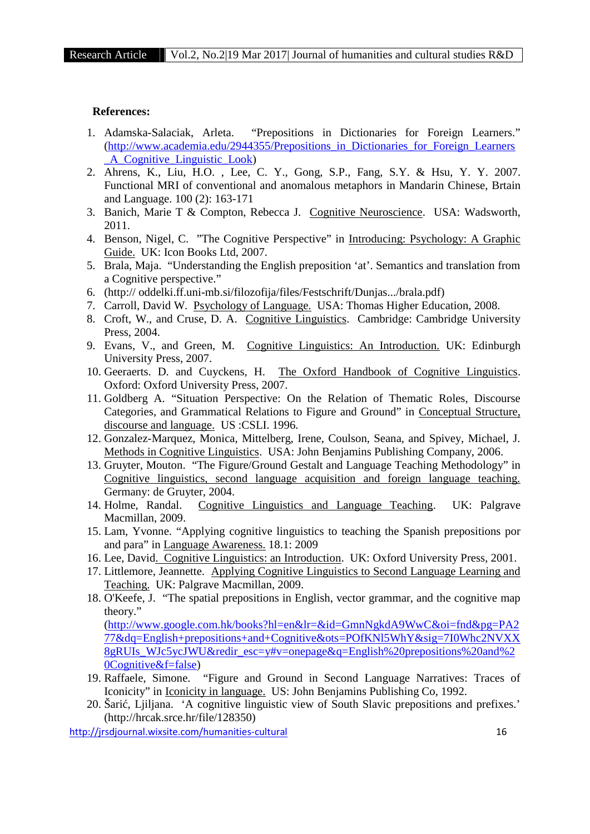#### **References:**

- 1. Adamska-Salaciak, Arleta. "Prepositions in Dictionaries for Foreign Learners." (http://www.academia.edu/2944355/Prepositions\_in\_Dictionaries\_for\_Foreign\_Learners \_A\_Cognitive\_Linguistic\_Look)
- 2. Ahrens, K., Liu, H.O. , Lee, C. Y., Gong, S.P., Fang, S.Y. & Hsu, Y. Y. 2007. Functional MRI of conventional and anomalous metaphors in Mandarin Chinese, Brtain and Language. 100 (2): 163-171
- 3. Banich, Marie T & Compton, Rebecca J. Cognitive Neuroscience. USA: Wadsworth, 2011.
- 4. Benson, Nigel, C. "The Cognitive Perspective" in Introducing: Psychology: A Graphic Guide. UK: Icon Books Ltd, 2007.
- 5. Brala, Maja. "Understanding the English preposition 'at'. Semantics and translation from a Cognitive perspective."
- 6. (http:// oddelki.ff.uni-mb.si/filozofija/files/Festschrift/Dunjas.../brala.pdf)
- 7. Carroll, David W. Psychology of Language. USA: Thomas Higher Education, 2008.
- 8. Croft, W., and Cruse, D. A. Cognitive Linguistics. Cambridge: Cambridge University Press, 2004.
- 9. Evans, V., and Green, M. Cognitive Linguistics: An Introduction. UK: Edinburgh University Press, 2007.
- 10. Geeraerts. D. and Cuyckens, H. The Oxford Handbook of Cognitive Linguistics. Oxford: Oxford University Press, 2007.
- 11. Goldberg A. "Situation Perspective: On the Relation of Thematic Roles, Discourse Categories, and Grammatical Relations to Figure and Ground" in Conceptual Structure, discourse and language. US :CSLI. 1996.
- 12. Gonzalez-Marquez, Monica, Mittelberg, Irene, Coulson, Seana, and Spivey, Michael, J. Methods in Cognitive Linguistics. USA: John Benjamins Publishing Company, 2006.
- 13. Gruyter, Mouton. "The Figure/Ground Gestalt and Language Teaching Methodology" in Cognitive linguistics, second language acquisition and foreign language teaching. Germany: de Gruyter, 2004.
- 14. Holme, Randal. Cognitive Linguistics and Language Teaching. UK: Palgrave Macmillan, 2009.
- 15. Lam, Yvonne. "Applying cognitive linguistics to teaching the Spanish prepositions por and para" in Language Awareness. 18.1: 2009
- 16. Lee, David. Cognitive Linguistics: an Introduction. UK: Oxford University Press, 2001.
- 17. Littlemore, Jeannette. Applying Cognitive Linguistics to Second Language Learning and Teaching. UK: Palgrave Macmillan, 2009.
- 18. O'Keefe, J. "The spatial prepositions in English, vector grammar, and the cognitive map theory."

(http://www.google.com.hk/books?hl=en&lr=&id=GmnNgkdA9WwC&oi=fnd&pg=PA2 77&dq=English+prepositions+and+Cognitive&ots=POfKNl5WhY&sig=7I0Whc2NVXX 8gRUIs\_WJc5ycJWU&redir\_esc=y#v=onepage&q=English%20prepositions%20and%2 0Cognitive&f=false)<br>19. Raffaele. Simone.

- 19. Raffaele, Simone. "Figure and Ground in Second Language Narratives: Traces of Iconicity" in Iconicity in language. US: John Benjamins Publishing Co, 1992.
- 20. Šari, Ljiljana. 'A cognitive linguistic view of South Slavic prepositions and prefixes.' (http://hrcak.srce.hr/file/128350)